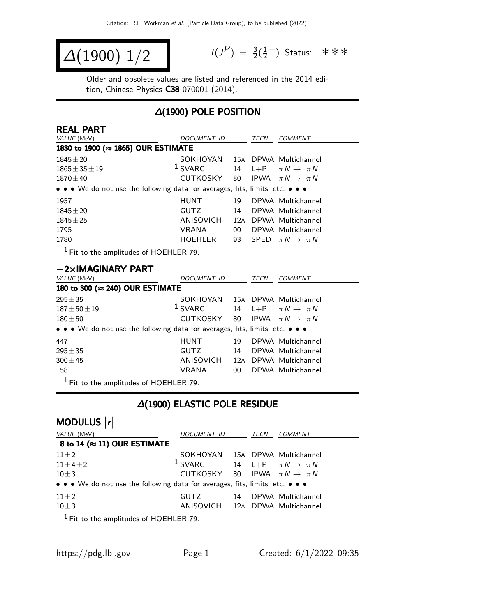$$
\Delta(1900) \; 1/2^{-1} \qquad \qquad ^{1/3}
$$

$$
I(J^{P}) = \frac{3}{2}(\frac{1}{2}^{-})
$$
 Status:  $\ast \ast \ast$ 

Older and obsolete values are listed and referenced in the 2014 edition, Chinese Physics C38 070001 (2014).

## ∆(1900) POLE POSITION

| <b>REAL PART</b>                                                                                          |                    |                 |             |                                |
|-----------------------------------------------------------------------------------------------------------|--------------------|-----------------|-------------|--------------------------------|
| VALUE (MeV)                                                                                               | <b>DOCUMENT ID</b> |                 | TECN        | <b>COMMENT</b>                 |
| 1830 to 1900 (≈ 1865) OUR ESTIMATE                                                                        |                    |                 |             |                                |
| $1845 + 20$                                                                                               | SOKHOYAN           |                 |             | 15A DPWA Multichannel          |
| $1865 \pm 35 \pm 19$                                                                                      | $1$ SVARC          | 14              | $L + P$     | $\pi N \rightarrow \pi N$      |
| $1870 + 40$                                                                                               | CUTKOSKY           | 80              |             | IPWA $\pi N \rightarrow \pi N$ |
| • • • We do not use the following data for averages, fits, limits, etc. • • •                             |                    |                 |             |                                |
| 1957                                                                                                      | <b>HUNT</b>        | 19              |             | DPWA Multichannel              |
| $1845 \pm 20$                                                                                             | <b>GUTZ</b>        | 14              |             | DPWA Multichannel              |
| $1845 \pm 25$                                                                                             | ANISOVICH          |                 |             | 12A DPWA Multichannel          |
| 1795                                                                                                      | <b>VRANA</b>       | 00 <sup>1</sup> |             | DPWA Multichannel              |
| 1780                                                                                                      | HOEHLER            | 93              |             | SPED $\pi N \rightarrow \pi N$ |
| $1$ Fit to the amplitudes of HOEHLER 79.                                                                  |                    |                 |             |                                |
| $-2\times$ IMAGINARY PART                                                                                 |                    |                 |             |                                |
| VALUE (MeV)                                                                                               | DOCUMENT ID        |                 | <b>TECN</b> | <b>COMMENT</b>                 |
| 180 to 300 (≈ 240) OUR ESTIMATE                                                                           |                    |                 |             |                                |
| $295 + 35$                                                                                                | SOKHOYAN           |                 |             | 15A DPWA Multichannel          |
| $187 \pm 50 \pm 19$                                                                                       | $1$ SVARC          | 14              | $L+P$       | $\pi N \rightarrow \pi N$      |
| $180 + 50$                                                                                                | CUTKOSKY           | 80              |             | IPWA $\pi N \rightarrow \pi N$ |
| • • • We do not use the following data for averages, fits, limits, etc. • • •                             |                    |                 |             |                                |
| 447                                                                                                       | <b>HUNT</b>        | 19              |             | DPWA Multichannel              |
| $295 + 35$                                                                                                | <b>GUTZ</b>        | 14              |             | DPWA Multichannel              |
| $300 + 45$                                                                                                | ANISOVICH          |                 |             | 12A DPWA Multichannel          |
| 58                                                                                                        | <b>VRANA</b>       | $00\,$          |             | DPWA Multichannel              |
| $\mathbf{1}$ expansion in $\mathbf{1}$<br><b>Contract Contract Contract Contract</b><br>$2100 - 110 - 20$ |                    |                 |             |                                |

 $<sup>1</sup>$  Fit to the amplitudes of HOEHLER 79.</sup>

## ∆(1900) ELASTIC POLE RESIDUE

# MODULUS  $\vert r \vert$

| VALUE (MeV)                                                                   | DOCUMENT ID                                |    | TECN | <b>COMMENT</b>                   |
|-------------------------------------------------------------------------------|--------------------------------------------|----|------|----------------------------------|
| 8 to 14 ( $\approx$ 11) OUR ESTIMATE                                          |                                            |    |      |                                  |
| $11\pm2$                                                                      | SOKHOYAN 15A DPWA Multichannel             |    |      |                                  |
| $11 \pm 4 \pm 2$                                                              | $1$ SVARC                                  |    |      | 14 L+P $\pi N \rightarrow \pi N$ |
| $10\pm3$                                                                      | CUTKOSKY 80 IPWA $\pi N \rightarrow \pi N$ |    |      |                                  |
| • • • We do not use the following data for averages, fits, limits, etc. • • • |                                            |    |      |                                  |
| $11\pm2$                                                                      | GUTZ                                       | 14 |      | DPWA Multichannel                |
| $10\pm3$                                                                      | ANISOVICH 12A DPWA Multichannel            |    |      |                                  |
| $1 - 1$                                                                       |                                            |    |      |                                  |

 $<sup>1</sup>$  Fit to the amplitudes of HOEHLER 79.</sup>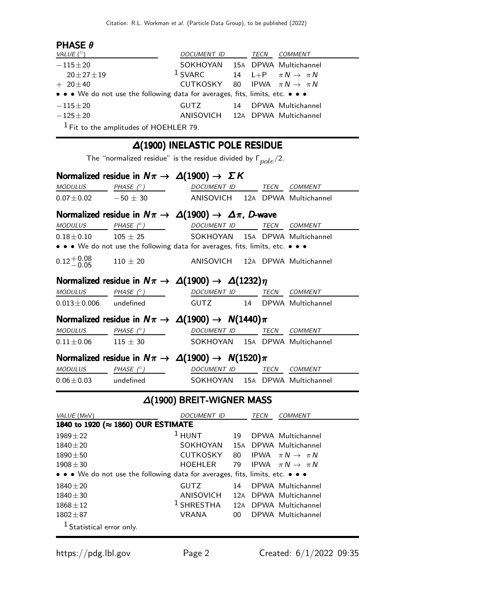## PHASE θ

| VALUE $(^\circ)$                                                                                                                                                                                                                                                                                                    | DOCUMENT ID                                         |    | TECN | <i>COMMENT</i>    |
|---------------------------------------------------------------------------------------------------------------------------------------------------------------------------------------------------------------------------------------------------------------------------------------------------------------------|-----------------------------------------------------|----|------|-------------------|
| $-115\pm 20$                                                                                                                                                                                                                                                                                                        | SOKHOYAN 15A DPWA Multichannel                      |    |      |                   |
| $20 \pm 27 \pm 19$                                                                                                                                                                                                                                                                                                  | <sup>1</sup> SVARC 14 L+P $\pi N \rightarrow \pi N$ |    |      |                   |
| $+20\pm 40$                                                                                                                                                                                                                                                                                                         | CUTKOSKY 80 IPWA $\pi N \rightarrow \pi N$          |    |      |                   |
| • • • We do not use the following data for averages, fits, limits, etc. • • •                                                                                                                                                                                                                                       |                                                     |    |      |                   |
| $-115\pm 20$                                                                                                                                                                                                                                                                                                        | GUTZ                                                | 14 |      | DPWA Multichannel |
| $-125 \pm 20$                                                                                                                                                                                                                                                                                                       | ANISOVICH 12A DPWA Multichannel                     |    |      |                   |
| $\frac{1}{2}$ $\frac{1}{2}$ $\frac{1}{2}$ $\frac{1}{2}$ $\frac{1}{2}$ $\frac{1}{2}$ $\frac{1}{2}$ $\frac{1}{2}$ $\frac{1}{2}$ $\frac{1}{2}$ $\frac{1}{2}$ $\frac{1}{2}$ $\frac{1}{2}$ $\frac{1}{2}$ $\frac{1}{2}$ $\frac{1}{2}$ $\frac{1}{2}$ $\frac{1}{2}$ $\frac{1}{2}$ $\frac{1}{2}$ $\frac{1}{2}$ $\frac{1}{2}$ |                                                     |    |      |                   |

Fit to the amplitudes of HOEHLER 79.

## ∆(1900) INELASTIC POLE RESIDUE

The "normalized residue" is the residue divided by  $\Gamma_{pole}/2$ .

|                             | Normalized residue in $N\pi \to \Delta(1900) \to \Sigma K$                    |                                  |     |             |                                 |
|-----------------------------|-------------------------------------------------------------------------------|----------------------------------|-----|-------------|---------------------------------|
| <b>MODULUS</b>              | PHASE $(^\circ)$                                                              | DOCUMENT ID                      |     | TECN        | COMMENT                         |
| $0.07 + 0.02$               | $-50 + 30$                                                                    | ANISOVICH                        |     |             | 12A DPWA Multichannel           |
|                             | Normalized residue in $N\pi \to \Delta(1900) \to \Delta\pi$ , D-wave          |                                  |     |             |                                 |
| <b>MODULUS</b>              | PHASE $(^\circ)$                                                              | DOCUMENT ID                      |     | TECN        | <b>COMMENT</b>                  |
| $0.18\!\pm\!0.10$           | $105 \pm 25$                                                                  | SOKHOYAN                         |     |             | 15A DPWA Multichannel           |
|                             | • • • We do not use the following data for averages, fits, limits, etc. • • • |                                  |     |             |                                 |
| $0.12 + 0.08$<br>$-0.05$    | $110 \pm 20$                                                                  |                                  |     |             | ANISOVICH 12A DPWA Multichannel |
|                             | Normalized residue in $N\pi \to \Delta(1900) \to \Delta(1232)\eta$            |                                  |     |             |                                 |
| <b>MODULUS</b>              | PHASE $(^\circ)$                                                              | DOCUMENT ID                      |     | TECN        | <i>COMMENT</i>                  |
| $0.013 \pm 0.006$           | undefined                                                                     | <b>GUTZ</b>                      | 14  |             | DPWA Multichannel               |
|                             | Normalized residue in $N\pi \to \Delta(1900) \to N(1440)\pi$                  |                                  |     |             |                                 |
| <b>MODULUS</b>              | PHASE $(^\circ)$                                                              | DOCUMENT ID                      |     | TECN        | <i>COMMENT</i>                  |
| $0.11 \pm 0.06$             | $115 + 30$                                                                    | SOKHOYAN                         |     |             | 15A DPWA Multichannel           |
|                             | Normalized residue in $N\pi \to \Delta(1900) \to N(1520)\pi$                  |                                  |     |             |                                 |
| <b>MODULUS</b>              | PHASE $(^\circ)$                                                              | DOCUMENT ID                      |     | TECN        | <i>COMMENT</i>                  |
| $0.06 \pm 0.03$             | undefined                                                                     | SOKHOYAN                         |     |             | 15A DPWA Multichannel           |
|                             |                                                                               | $\Delta(1900)$ BREIT-WIGNER MASS |     |             |                                 |
| VALUE (MeV)                 |                                                                               | DOCUMENT ID                      |     | <b>TECN</b> | COMMENT                         |
|                             | 1840 to 1920 (≈ 1860) OUR ESTIMATE                                            |                                  |     |             |                                 |
| $1989 \pm 22$               |                                                                               | $1$ HUNT                         | 19  |             | DPWA Multichannel               |
| $1840 \pm 20$               |                                                                               | SOKHOYAN                         | 15A |             | DPWA Multichannel               |
| $1890 \pm 50$               |                                                                               | <b>CUTKOSKY</b>                  | 80  | <b>IPWA</b> | $\pi N \rightarrow \pi N$       |
| $1908 \pm 30$               |                                                                               | <b>HOEHLER</b>                   | 79  | <b>IPWA</b> | $\pi N \rightarrow \pi N$       |
|                             | • • • We do not use the following data for averages, fits, limits, etc. • • • |                                  |     |             |                                 |
| $1840 \pm 20$               |                                                                               | <b>GUTZ</b>                      | 14  |             | DPWA Multichannel               |
| $1840 \pm 30$               |                                                                               | ANISOVICH                        |     |             | 12A DPWA Multichannel           |
| $1868 \pm 12$               |                                                                               | <sup>1</sup> SHRESTHA            | 12A |             | DPWA Multichannel               |
| $1802 \pm 87$               |                                                                               | VRANA                            | 00  |             | DPWA Multichannel               |
| $1$ Statistical error only. |                                                                               |                                  |     |             |                                 |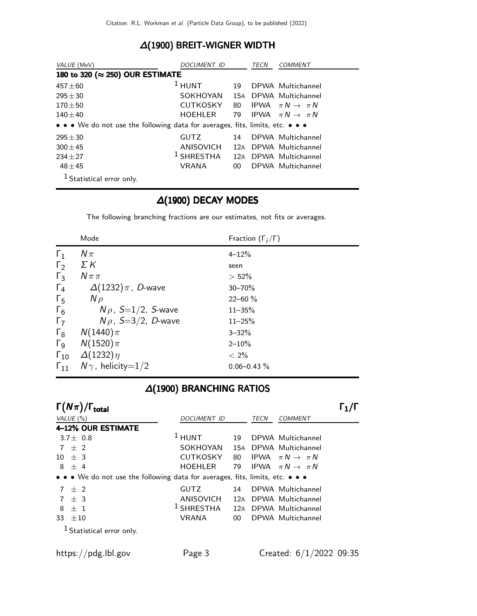## ∆(1900) BREIT-WIGNER WIDTH

| VALUE (MeV)                                                                   | DOCUMENT ID     |     | TECN | <i>COMMENT</i>                 |
|-------------------------------------------------------------------------------|-----------------|-----|------|--------------------------------|
| 180 to 320 (≈ 250) OUR ESTIMATE                                               |                 |     |      |                                |
| $457 \pm 60$                                                                  | $1$ HUNT        | 19  |      | DPWA Multichannel              |
| $295 \pm 30$                                                                  | SOKHOYAN        | 15A |      | DPWA Multichannel              |
| $170 + 50$                                                                    | <b>CUTKOSKY</b> | 80  |      | IPWA $\pi N \rightarrow \pi N$ |
| $140 + 40$                                                                    | <b>HOEHLER</b>  | 79  |      | IPWA $\pi N \rightarrow \pi N$ |
| • • • We do not use the following data for averages, fits, limits, etc. • • • |                 |     |      |                                |
| $295 + 30$                                                                    | <b>GUTZ</b>     | 14  |      | DPWA Multichannel              |
| $300 + 45$                                                                    | ANISOVICH       | 12A |      | DPWA Multichannel              |
| $234 + 27$                                                                    | $1$ SHRESTHA    | 12A |      | DPWA Multichannel              |
| $48 \pm 45$                                                                   | <b>VRANA</b>    | 00  |      | DPWA Multichannel              |
| $1$ Statistical error only.                                                   |                 |     |      |                                |

## ∆(1900) DECAY MODES

The following branching fractions are our estimates, not fits or averages.

|                       | Mode                       | Fraction $(\Gamma_i/\Gamma)$ |
|-----------------------|----------------------------|------------------------------|
| $\Gamma_1$            | $N\pi$                     | $4 - 12%$                    |
| $\Gamma_2$            | ΣΚ                         | seen                         |
| $\Gamma_3$            | $N \pi \pi$                | $> 52\%$                     |
| $\Gamma_4$            | $\Delta(1232)\pi$ , D-wave | $30 - 70%$                   |
| $\Gamma_{5}$          | $N \rho$                   | $22 - 60 \%$                 |
| $\Gamma_6$            | $N\rho$ , S=1/2, S-wave    | $11 - 35%$                   |
| $\Gamma_7$            | $N\rho$ , S=3/2, D-wave    | $11 - 25%$                   |
| $\Gamma_8$            | $N(1440)\pi$               | $3 - 32%$                    |
| $\Gamma$ <sub>9</sub> | $N(1520)\pi$               | $2 - 10%$                    |
| $\Gamma_{10}$         | $\Delta(1232)\eta$         | $< 2\%$                      |
| $\Gamma_{11}$         | $N\gamma$ , helicity=1/2   | $0.06 - 0.43 \%$             |

#### ∆(1900) BRANCHING RATIOS

| $\Gamma(N\pi)/\Gamma_{\rm total}$                                             |                                 |        |      |                                |  |
|-------------------------------------------------------------------------------|---------------------------------|--------|------|--------------------------------|--|
| VALUE $(\% )$                                                                 | <b>DOCUMENT ID</b>              |        | TECN | <b>COMMENT</b>                 |  |
| 4-12% OUR ESTIMATE                                                            |                                 |        |      |                                |  |
| 3.7 $\pm$ 0.8                                                                 | $1$ HUNT                        | 19     |      | DPWA Multichannel              |  |
| $7 \pm 2$                                                                     | SOKHOYAN                        |        |      | 15A DPWA Multichannel          |  |
| $10 \pm 3$                                                                    | CUTKOSKY                        | 80     |      | IPWA $\pi N \rightarrow \pi N$ |  |
| $8 \pm 4$                                                                     | HOEHLER                         | 79     |      | IPWA $\pi N \rightarrow \pi N$ |  |
| • • • We do not use the following data for averages, fits, limits, etc. • • • |                                 |        |      |                                |  |
| $7 + 2$                                                                       | <b>GUTZ</b>                     | 14     |      | DPWA Multichannel              |  |
| $7 + 3$                                                                       | ANISOVICH 12A DPWA Multichannel |        |      |                                |  |
| 8<br>$+1$                                                                     | $1$ SHRESTHA                    |        |      | 12A DPWA Multichannel          |  |
| 33<br>$\pm 10$                                                                | <b>VRANA</b>                    | $00\,$ |      | DPWA Multichannel              |  |
| <sup>1</sup> Statistical error only.                                          |                                 |        |      |                                |  |
|                                                                               |                                 |        |      |                                |  |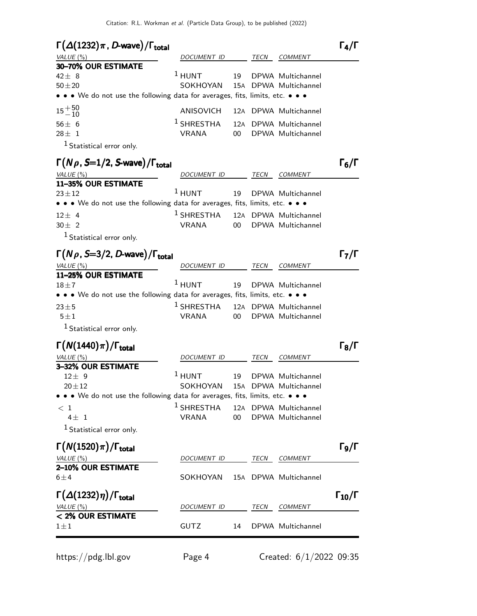| $\Gamma(\Delta(1232)\pi, D$ -wave)/ $\Gamma_{\text{total}}$<br>VALUE (%)                                                                          | <i>DOCUMENT ID</i>                         |        | TECN | <b>COMMENT</b>                             | $\Gamma_4/\Gamma$    |
|---------------------------------------------------------------------------------------------------------------------------------------------------|--------------------------------------------|--------|------|--------------------------------------------|----------------------|
| 30-70% OUR ESTIMATE<br>$42 \pm 8$                                                                                                                 | $1$ HUNT                                   | 19     |      | DPWA Multichannel                          |                      |
| $50 + 20$<br>$\bullet\,\bullet\,\bullet\,$ We do not use the following data for averages, fits, limits, etc. $\bullet\,\bullet\,\bullet\,\bullet$ | SOKHOYAN                                   |        |      | 15A DPWA Multichannel                      |                      |
| $15 + 50$<br>$-10$                                                                                                                                | ANISOVICH                                  |        |      | 12A DPWA Multichannel                      |                      |
| $56\pm 6$<br>$28 \pm 1$<br>$1$ Statistical error only.                                                                                            | $1$ SHRESTHA<br><b>VRANA</b>               | 00     |      | 12A DPWA Multichannel<br>DPWA Multichannel |                      |
| $\Gamma(N\rho, S=1/2, S$ -wave)/ $\Gamma_{\rm total}$                                                                                             | <i>DOCUMENT ID</i>                         |        |      |                                            | $\Gamma_6/\Gamma$    |
| VALUE $(\%)$<br>11-35% OUR ESTIMATE                                                                                                               |                                            |        | TECN | <b>COMMENT</b>                             |                      |
| $23 + 12$<br>• • • We do not use the following data for averages, fits, limits, etc. • • •                                                        | $^1$ hunt                                  | 19     |      | DPWA Multichannel                          |                      |
| $12 \pm 4$<br>$30 \pm 2$<br><sup>1</sup> Statistical error only.                                                                                  | $1$ SHRESTHA<br><b>VRANA</b>               | $00\,$ |      | 12A DPWA Multichannel<br>DPWA Multichannel |                      |
| $\Gamma(N\rho, S=3/2, D$ -wave)/ $\Gamma_{\rm total}$<br>VALUE $(\% )$                                                                            | DOCUMENT ID                                |        | TECN | <i>COMMENT</i>                             | $\Gamma_7/\Gamma$    |
| 11-25% OUR ESTIMATE<br>$18\!\pm\! 7$<br>• • • We do not use the following data for averages, fits, limits, etc. • • •                             | $1$ HUNT                                   | 19     |      | DPWA Multichannel                          |                      |
| $23 + 5$<br>$5 \pm 1$                                                                                                                             | <sup>1</sup> SHRESTHA<br><b>VRANA</b>      | $00\,$ |      | 12A DPWA Multichannel<br>DPWA Multichannel |                      |
| $1$ Statistical error only.<br>$\Gamma(N(1440)\pi)/\Gamma_{\rm total}$                                                                            |                                            |        |      |                                            | $\Gamma_8/\Gamma$    |
| VALUE (%)<br>3-32% OUR ESTIMATE                                                                                                                   | DOCUMENT ID                                |        | TECN | <i>COMMENT</i>                             |                      |
| $12 \pm 9$<br>$20 \pm 12$                                                                                                                         | $1$ HUNT<br>SOKHOYAN 15A DPWA Multichannel | 19     |      | DPWA Multichannel                          |                      |
| • • We do not use the following data for averages, fits, limits, etc. • • •                                                                       |                                            |        |      |                                            |                      |
| $<$ 1<br>$4\pm$ 1<br><sup>1</sup> Statistical error only.                                                                                         | $^1$ SHRESTHA<br>VRANA                     | 00     |      | 12A DPWA Multichannel<br>DPWA Multichannel |                      |
| $\Gamma(N(1520)\pi)/\Gamma_{\rm total}$                                                                                                           |                                            |        |      |                                            | $\Gamma_{9}/\Gamma$  |
| VALUE $(%)$                                                                                                                                       | DOCUMENT ID                                |        | TECN | COMMENT                                    |                      |
| 2-10% OUR ESTIMATE<br>$6 \pm 4$                                                                                                                   | SOKHOYAN                                   |        |      | 15A DPWA Multichannel                      |                      |
| $\Gamma(\Delta(1232)\eta)/\Gamma_{\rm total}$<br>VALUE $(%)$                                                                                      | DOCUMENT ID                                |        | TECN | COMMENT                                    | $\Gamma_{10}/\Gamma$ |
| < 2% OUR ESTIMATE<br>$1 \pm 1$                                                                                                                    | GUTZ                                       | 14     |      | DPWA Multichannel                          |                      |

https://pdg.lbl.gov Page 4 Created: 6/1/2022 09:35